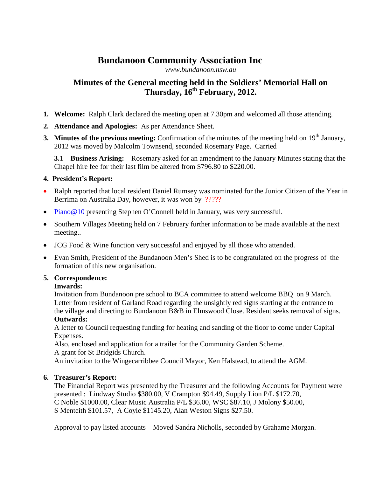# **Bundanoon Community Association Inc**

*[www.bundanoon.nsw.au](http://www.bundanoon.nsw.au/)*

# **Minutes of the General meeting held in the Soldiers' Memorial Hall on Thursday, 16th February, 2012.**

- **1. Welcome:** Ralph Clark declared the meeting open at 7.30pm and welcomed all those attending.
- **2. Attendance and Apologies:** As per Attendance Sheet.
- **3. Minutes of the previous meeting:** Confirmation of the minutes of the meeting held on 19<sup>th</sup> January, 2012 was moved by Malcolm Townsend, seconded Rosemary Page. Carried

**3.**1 **Business Arising:** Rosemary asked for an amendment to the January Minutes stating that the Chapel hire fee for their last film be altered from \$796.80 to \$220.00.

# **4. President's Report:**

- Ralph reported that local resident Daniel Rumsey was nominated for the Junior Citizen of the Year in Berrima on Australia Day, however, it was won by ?????
- [Piano@10](mailto:Piano@10) presenting Stephen O'Connell held in January, was very successful.
- Southern Villages Meeting held on 7 February further information to be made available at the next meeting..
- JCG Food & Wine function very successful and enjoyed by all those who attended.
- Evan Smith, President of the Bundanoon Men's Shed is to be congratulated on the progress of the formation of this new organisation.

## **5. Correspondence:**

# **Inwards:**

Invitation from Bundanoon pre school to BCA committee to attend welcome BBQ on 9 March. Letter from resident of Garland Road regarding the unsightly red signs starting at the entrance to the village and directing to Bundanoon B&B in Elmswood Close. Resident seeks removal of signs. **Outwards:**

A letter to Council requesting funding for heating and sanding of the floor to come under Capital Expenses.

Also, enclosed and application for a trailer for the Community Garden Scheme.

A grant for St Bridgids Church.

An invitation to the Wingecarribbee Council Mayor, Ken Halstead, to attend the AGM.

# **6. Treasurer's Report:**

The Financial Report was presented by the Treasurer and the following Accounts for Payment were presented : Lindway Studio \$380.00, V Crampton \$94.49, Supply Lion P/L \$172.70, C Noble \$1000.00, Clear Music Australia P/L \$36.00, WSC \$87.10, J Molony \$50.00, S Menteith \$101.57, A Coyle \$1145.20, Alan Weston Signs \$27.50.

Approval to pay listed accounts – Moved Sandra Nicholls, seconded by Grahame Morgan.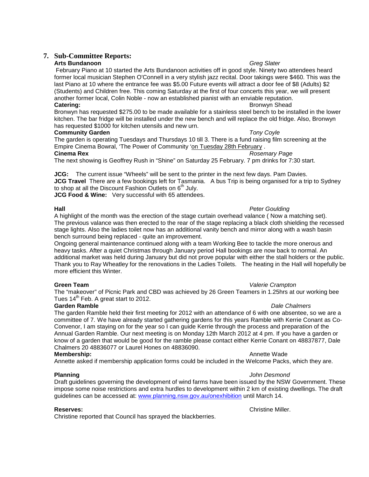## **7. Sub-Committee Reports:**

### **Arts Bundanoon** *Greg Slater*

February Piano at 10 started the Arts Bundanoon activities off in good style. Ninety two attendees heard former local musician Stephen O'Connell in a very stylish jazz recital. Door takings were \$460. This was the last Piano at 10 where the entrance fee was \$5.00 Future events will attract a door fee of \$8 (Adults) \$2 (Students) and Children free. This coming Saturday at the first of four concerts this year, we will present another former local, Colin Noble - now an established pianist with an enviable reputation. **Catering: Bronwyn Shead Catering: Bronwyn Shead Bronwyn Shead Bronwyn Shead** 

Bronwyn has requested \$275.00 to be made available for a stainless steel bench to be installed in the lower kitchen. The bar fridge will be installed under the new bench and will replace the old fridge. Also, Bronwyn has requested \$1000 for kitchen utensils and new urn.

### **Community Garden** *Tony Coyle*

The garden is operating Tuesdays and Thursdays 10 till 3. There is a fund raising film screening at the Empire Cinema Bowral, 'The Power of Community ['on Tuesday 28th February](x-apple-data-detectors://0/) .<br>Cinema Rex<br>Rosen **Cinema Rex** *Rosemary Page*

The next showing is Geoffrey Rush in "Shine" on Saturday 25 February. 7 pm drinks for 7:30 start.

**JCG:** The current issue "Wheels" will be sent to the printer in the next few days. Pam Davies.

**JCG Travel** There are a few bookings left for Tasmania. A bus Trip is being organised for a trip to Sydney to shop at all the Discount Fashion Outlets on  $6<sup>th</sup>$  July.

**JCG Food & Wine:** Very successful with 65 attendees.

A highlight of the month was the erection of the stage curtain overhead valance ( Now a matching set). The previous valance was then erected to the rear of the stage replacing a black cloth shielding the recessed stage lights. Also the ladies toilet now has an additional vanity bench and mirror along with a wash basin bench surround being replaced - quite an improvement.

Ongoing general maintenance continued along with a team Working Bee to tackle the more onerous and heavy tasks. After a quiet Christmas through January period Hall bookings are now back to normal. An additional market was held during January but did not prove popular with either the stall holders or the public. Thank you to Ray Wheatley for the renovations in the Ladies Toilets. The heating in the Hall will hopefully be more efficient this Winter.

The "makeover" of Picnic Park and CBD was achieved by 26 Green Teamers in 1.25hrs at our working bee Tues  $14<sup>th</sup>$  Feb. A great start to 2012.

### **Garden Ramble** *Dale Chalmers*

The garden Ramble held their first meeting for 2012 with an attendance of 6 with one absentee, so we are a committee of 7. We have already started gathering gardens for this years Ramble with Kerrie Conant as Co-Convenor, I am staying on for the year so I can guide Kerrie through the process and preparation of the Annual Garden Ramble. Our next meeting is on Monday 12th March 2012 at 4 pm. If you have a garden or know of a garden that would be good for the ramble please contact either Kerrie Conant on 48837877, Dale Chalmers 20 48836077 or Laurel Hones on 48836090.

### **Membership:** Annette Wade

Annette asked if membership application forms could be included in the Welcome Packs, which they are.

**Planning** *John Desmond* Draft guidelines governing the development of wind farms have been issued by the NSW Government. These impose some noise restrictions and extra hurdles to development within 2 km of existing dwellings. The draft guidelines can be accessed at: [www.planning.nsw.gov.au/onexhibition](http://www.planning.nsw.gov.au/onexhibition) until March 14.

Christine reported that Council has sprayed the blackberries.

**Reserves: Christian Christian Christian Christian Christian Christian Christian Christian Christian Christian Christian Christian Christian Christian Christian Christian Christian Christian Christian Christian Christian** 

# **Hall** *Peter Goulding*

# **Green Team** *Valerie Crampton*